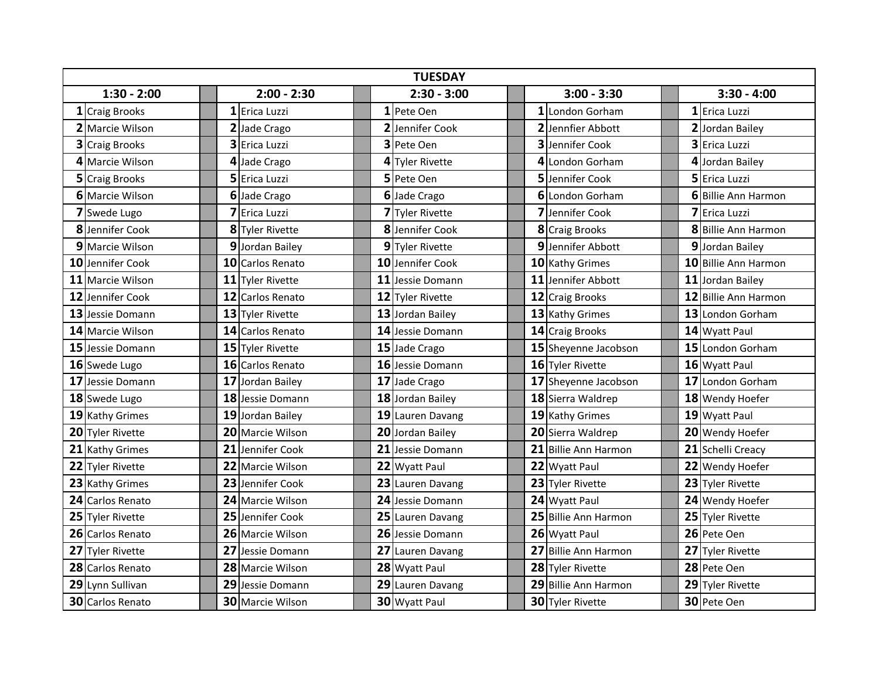| <b>TUESDAY</b> |                         |               |    |                  |               |  |                  |               |  |                      |               |   |                      |
|----------------|-------------------------|---------------|----|------------------|---------------|--|------------------|---------------|--|----------------------|---------------|---|----------------------|
| $1:30 - 2:00$  |                         | $2:00 - 2:30$ |    |                  | $2:30 - 3:00$ |  |                  | $3:00 - 3:30$ |  |                      | $3:30 - 4:00$ |   |                      |
|                | 1 Craig Brooks          |               |    | 1 Erica Luzzi    |               |  | 1 Pete Oen       |               |  | 1 London Gorham      |               |   | 1 Erica Luzzi        |
|                | 2 Marcie Wilson         |               |    | 2 Jade Crago     |               |  | 2 Jennifer Cook  |               |  | 2 Jennfier Abbott    |               |   | 2 Jordan Bailey      |
|                | 3 Craig Brooks          |               |    | 3 Erica Luzzi    |               |  | 3 Pete Oen       |               |  | 3 Jennifer Cook      |               |   | 3 Erica Luzzi        |
|                | 4 Marcie Wilson         |               | 4  | Jade Crago       |               |  | 4 Tyler Rivette  |               |  | 4 London Gorham      |               | 4 | Jordan Bailey        |
|                | <b>5</b> Craig Brooks   |               |    | 5 Erica Luzzi    |               |  | 5 Pete Oen       |               |  | 5 Jennifer Cook      |               |   | 5 Erica Luzzi        |
|                | <b>6</b> IMarcie Wilson |               |    | 6 Jade Crago     |               |  | 6 Jade Crago     |               |  | 6 London Gorham      |               |   | 6 Billie Ann Harmon  |
|                | 7 Swede Lugo            |               |    | 7 Erica Luzzi    |               |  | 7 Tyler Rivette  |               |  | 7 Jennifer Cook      |               |   | 7 Erica Luzzi        |
|                | 8 Jennifer Cook         |               |    | 8 Tyler Rivette  |               |  | 8 Jennifer Cook  |               |  | 8 Craig Brooks       |               |   | 8 Billie Ann Harmon  |
|                | 9 Marcie Wilson         |               |    | 9 Jordan Bailey  |               |  | 9 Tyler Rivette  |               |  | 9 Jennifer Abbott    |               |   | 9 Jordan Bailey      |
|                | 10 Jennifer Cook        |               |    | 10 Carlos Renato |               |  | 10 Jennifer Cook |               |  | 10 Kathy Grimes      |               |   | 10 Billie Ann Harmon |
|                | 11 Marcie Wilson        |               |    | 11 Tyler Rivette |               |  | 11 Jessie Domann |               |  | 11 Jennifer Abbott   |               |   | 11 Jordan Bailey     |
|                | 12 Jennifer Cook        |               |    | 12 Carlos Renato |               |  | 12 Tyler Rivette |               |  | 12 Craig Brooks      |               |   | 12 Billie Ann Harmon |
|                | 13 Jessie Domann        |               |    | 13 Tyler Rivette |               |  | 13 Jordan Bailey |               |  | 13 Kathy Grimes      |               |   | 13 London Gorham     |
|                | 14 Marcie Wilson        |               |    | 14 Carlos Renato |               |  | 14 Jessie Domann |               |  | 14 Craig Brooks      |               |   | 14 Wyatt Paul        |
|                | 15 Jessie Domann        |               |    | 15 Tyler Rivette |               |  | 15 Jade Crago    |               |  | 15 Sheyenne Jacobson |               |   | 15 London Gorham     |
|                | 16 Swede Lugo           |               |    | 16 Carlos Renato |               |  | 16 Jessie Domann |               |  | 16 Tyler Rivette     |               |   | 16 Wyatt Paul        |
|                | 17 Jessie Domann        |               | 17 | Jordan Bailey    |               |  | 17 Jade Crago    |               |  | 17 Sheyenne Jacobson |               |   | 17 London Gorham     |
|                | 18 Swede Lugo           |               |    | 18 Jessie Domann |               |  | 18 Jordan Bailey |               |  | 18 Sierra Waldrep    |               |   | 18 Wendy Hoefer      |
|                | 19 Kathy Grimes         |               | 19 | Jordan Bailey    |               |  | 19 Lauren Davang |               |  | 19 Kathy Grimes      |               |   | 19 Wyatt Paul        |
|                | 20 Tyler Rivette        |               |    | 20 Marcie Wilson |               |  | 20 Jordan Bailey |               |  | 20 Sierra Waldrep    |               |   | 20 Wendy Hoefer      |
|                | 21 Kathy Grimes         |               |    | 21 Jennifer Cook |               |  | 21 Jessie Domann |               |  | 21 Billie Ann Harmon |               |   | 21 Schelli Creacy    |
|                | 22 Tyler Rivette        |               | 22 | Marcie Wilson    |               |  | 22 Wyatt Paul    |               |  | 22 Wyatt Paul        |               |   | 22 Wendy Hoefer      |
|                | 23 Kathy Grimes         |               |    | 23 Jennifer Cook |               |  | 23 Lauren Davang |               |  | 23 Tyler Rivette     |               |   | 23 Tyler Rivette     |
|                | 24 Carlos Renato        |               |    | 24 Marcie Wilson |               |  | 24 Jessie Domann |               |  | 24 Wyatt Paul        |               |   | 24 Wendy Hoefer      |
|                | 25 Tyler Rivette        |               |    | 25 Jennifer Cook |               |  | 25 Lauren Davang |               |  | 25 Billie Ann Harmon |               |   | 25 Tyler Rivette     |
|                | 26 Carlos Renato        |               |    | 26 Marcie Wilson |               |  | 26 Jessie Domann |               |  | 26 Wyatt Paul        |               |   | 26 Pete Oen          |
|                | 27 Tyler Rivette        |               | 27 | Jessie Domann    |               |  | 27 Lauren Davang |               |  | 27 Billie Ann Harmon |               |   | 27 Tyler Rivette     |
|                | 28 Carlos Renato        |               |    | 28 Marcie Wilson |               |  | 28 Wyatt Paul    |               |  | 28 Tyler Rivette     |               |   | 28 Pete Oen          |
|                | 29 Lynn Sullivan        |               |    | 29 Jessie Domann |               |  | 29 Lauren Davang |               |  | 29 Billie Ann Harmon |               |   | 29 Tyler Rivette     |
|                | 30 Carlos Renato        |               |    | 30 Marcie Wilson |               |  | 30 Wyatt Paul    |               |  | 30 Tyler Rivette     |               |   | 30 Pete Oen          |